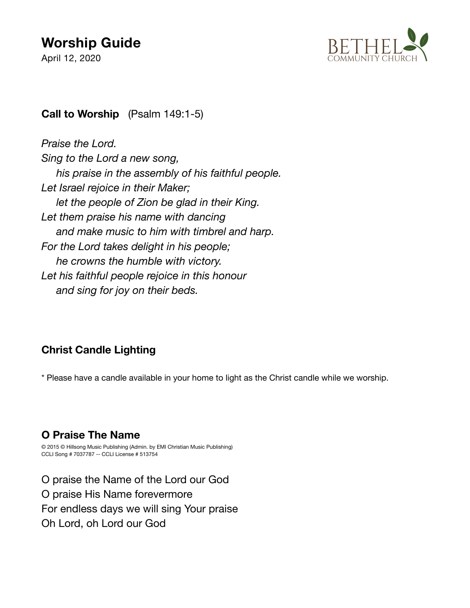April 12, 2020



**Call to Worship** (Psalm 149:1-5)

*Praise the Lord. Sing to the Lord a new song, his praise in the assembly of his faithful people. Let Israel rejoice in their Maker; let the people of Zion be glad in their King. Let them praise his name with dancing and make music to him with timbrel and harp. For the Lord takes delight in his people; he crowns the humble with victory. Let his faithful people rejoice in this honour and sing for joy on their beds.* 

## **Christ Candle Lighting**

\* Please have a candle available in your home to light as the Christ candle while we worship.

### **O Praise The Name**

© 2015 © Hillsong Music Publishing (Admin. by EMI Christian Music Publishing) CCLI Song # 7037787 -- CCLI License # 513754

O praise the Name of the Lord our God O praise His Name forevermore For endless days we will sing Your praise Oh Lord, oh Lord our God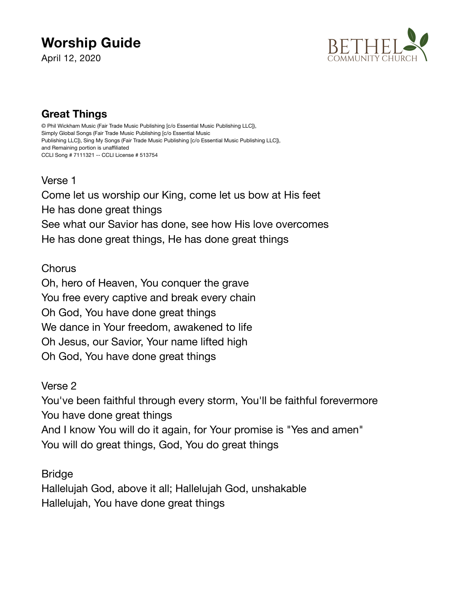April 12, 2020



### **Great Things**

© Phil Wickham Music (Fair Trade Music Publishing [c/o Essential Music Publishing LLC]), Simply Global Songs (Fair Trade Music Publishing [c/o Essential Music Publishing LLC]), Sing My Songs (Fair Trade Music Publishing [c/o Essential Music Publishing LLC]), and Remaining portion is unaffiliated CCLI Song # 7111321 -- CCLI License # 513754

Verse 1

Come let us worship our King, come let us bow at His feet He has done great things See what our Savior has done, see how His love overcomes He has done great things, He has done great things

#### **Chorus**

Oh, hero of Heaven, You conquer the grave You free every captive and break every chain Oh God, You have done great things We dance in Your freedom, awakened to life Oh Jesus, our Savior, Your name lifted high Oh God, You have done great things

### Verse 2

You've been faithful through every storm, You'll be faithful forevermore You have done great things And I know You will do it again, for Your promise is "Yes and amen" You will do great things, God, You do great things

Bridge

Hallelujah God, above it all; Hallelujah God, unshakable Hallelujah, You have done great things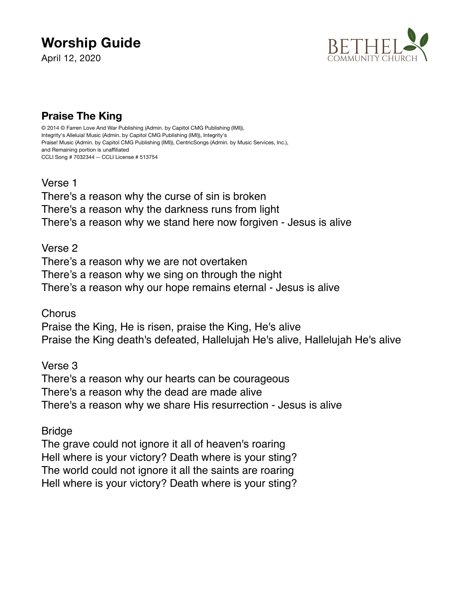April 12, 2020



### **Praise The King**

© 2014 © Farren Love And War Publishing (Admin. by Capitol CMG Publishing (IMI)), Integrity's Alleluia! Music (Admin. by Capitol CMG Publishing (IMI)), Integrity's Praise! Music (Admin. by Capitol CMG Publishing (IMI)), CentricSongs (Admin. by Music Services, Inc.), and Remaining portion is unaffiliated CCLI Song # 7032344 -- CCLI License # 513754

Verse 1

There's a reason why the curse of sin is broken There's a reason why the darkness runs from light There's a reason why we stand here now forgiven - Jesus is alive

Verse 2

There's a reason why we are not overtaken There's a reason why we sing on through the night There's a reason why our hope remains eternal - Jesus is alive

**Chorus** 

Praise the King, He is risen, praise the King, He's alive Praise the King death's defeated, Hallelujah He's alive, Hallelujah He's alive

Verse 3 There's a reason why our hearts can be courageous There's a reason why the dead are made alive There's a reason why we share His resurrection - Jesus is alive

**Bridge** 

The grave could not ignore it all of heaven's roaring Hell where is your victory? Death where is your sting? The world could not ignore it all the saints are roaring Hell where is your victory? Death where is your sting?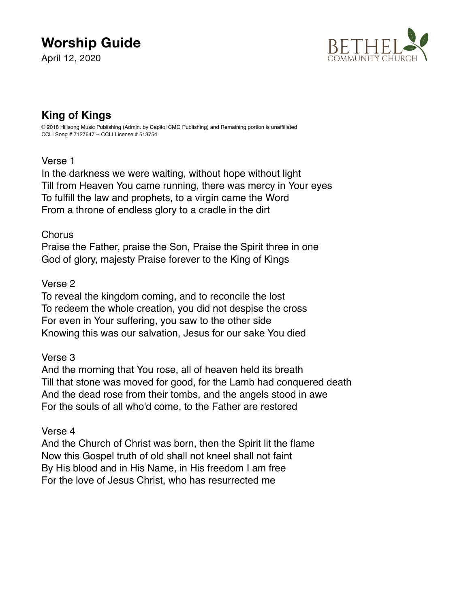April 12, 2020



### **King of Kings**

© 2018 Hillsong Music Publishing (Admin. by Capitol CMG Publishing) and Remaining portion is unaffiliated CCLI Song # 7127647 -- CCLI License # 513754

Verse 1

In the darkness we were waiting, without hope without light Till from Heaven You came running, there was mercy in Your eyes To fulfill the law and prophets, to a virgin came the Word From a throne of endless glory to a cradle in the dirt

#### **Chorus**

Praise the Father, praise the Son, Praise the Spirit three in one God of glory, majesty Praise forever to the King of Kings

#### Verse 2

To reveal the kingdom coming, and to reconcile the lost To redeem the whole creation, you did not despise the cross For even in Your suffering, you saw to the other side Knowing this was our salvation, Jesus for our sake You died

#### Verse 3

And the morning that You rose, all of heaven held its breath Till that stone was moved for good, for the Lamb had conquered death And the dead rose from their tombs, and the angels stood in awe For the souls of all who'd come, to the Father are restored

#### Verse 4

And the Church of Christ was born, then the Spirit lit the flame Now this Gospel truth of old shall not kneel shall not faint By His blood and in His Name, in His freedom I am free For the love of Jesus Christ, who has resurrected me